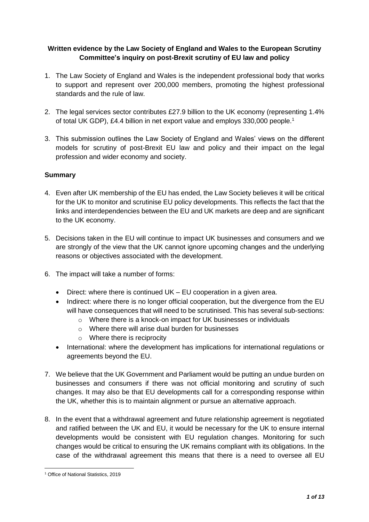# **Written evidence by the Law Society of England and Wales to the European Scrutiny Committee's inquiry on post-Brexit scrutiny of EU law and policy**

- 1. The Law Society of England and Wales is the independent professional body that works to support and represent over 200,000 members, promoting the highest professional standards and the rule of law.
- 2. The legal services sector contributes £27.9 billion to the UK economy (representing 1.4% of total UK GDP), £4.4 billion in net export value and employs 330,000 people.<sup>1</sup>
- 3. This submission outlines the Law Society of England and Wales' views on the different models for scrutiny of post-Brexit EU law and policy and their impact on the legal profession and wider economy and society.

## **Summary**

- 4. Even after UK membership of the EU has ended, the Law Society believes it will be critical for the UK to monitor and scrutinise EU policy developments. This reflects the fact that the links and interdependencies between the EU and UK markets are deep and are significant to the UK economy.
- 5. Decisions taken in the EU will continue to impact UK businesses and consumers and we are strongly of the view that the UK cannot ignore upcoming changes and the underlying reasons or objectives associated with the development.
- 6. The impact will take a number of forms:
	- Direct: where there is continued UK EU cooperation in a given area.
	- Indirect: where there is no longer official cooperation, but the divergence from the EU will have consequences that will need to be scrutinised. This has several sub-sections:
		- o Where there is a knock-on impact for UK businesses or individuals
		- o Where there will arise dual burden for businesses
		- o Where there is reciprocity
	- International: where the development has implications for international regulations or agreements beyond the EU.
- 7. We believe that the UK Government and Parliament would be putting an undue burden on businesses and consumers if there was not official monitoring and scrutiny of such changes. It may also be that EU developments call for a corresponding response within the UK, whether this is to maintain alignment or pursue an alternative approach.
- 8. In the event that a withdrawal agreement and future relationship agreement is negotiated and ratified between the UK and EU, it would be necessary for the UK to ensure internal developments would be consistent with EU regulation changes. Monitoring for such changes would be critical to ensuring the UK remains compliant with its obligations. In the case of the withdrawal agreement this means that there is a need to oversee all EU

**<sup>.</sup>** <sup>1</sup> Office of National Statistics, 2019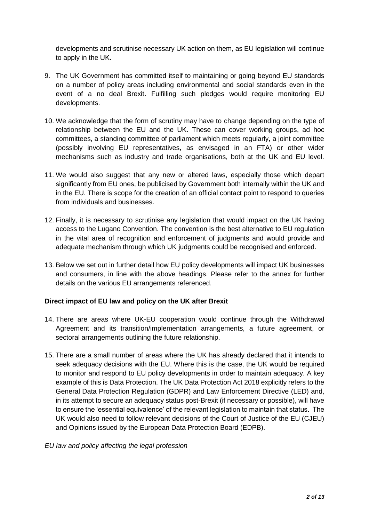developments and scrutinise necessary UK action on them, as EU legislation will continue to apply in the UK.

- 9. The UK Government has committed itself to maintaining or going beyond EU standards on a number of policy areas including environmental and social standards even in the event of a no deal Brexit. Fulfilling such pledges would require monitoring EU developments.
- 10. We acknowledge that the form of scrutiny may have to change depending on the type of relationship between the EU and the UK. These can cover working groups, ad hoc committees, a standing committee of parliament which meets regularly, a joint committee (possibly involving EU representatives, as envisaged in an FTA) or other wider mechanisms such as industry and trade organisations, both at the UK and EU level.
- 11. We would also suggest that any new or altered laws, especially those which depart significantly from EU ones, be publicised by Government both internally within the UK and in the EU. There is scope for the creation of an official contact point to respond to queries from individuals and businesses.
- 12. Finally, it is necessary to scrutinise any legislation that would impact on the UK having access to the Lugano Convention. The convention is the best alternative to EU regulation in the vital area of recognition and enforcement of judgments and would provide and adequate mechanism through which UK judgments could be recognised and enforced.
- 13. Below we set out in further detail how EU policy developments will impact UK businesses and consumers, in line with the above headings. Please refer to the annex for further details on the various EU arrangements referenced.

# **Direct impact of EU law and policy on the UK after Brexit**

- 14. There are areas where UK-EU cooperation would continue through the Withdrawal Agreement and its transition/implementation arrangements, a future agreement, or sectoral arrangements outlining the future relationship.
- 15. There are a small number of areas where the UK has already declared that it intends to seek adequacy decisions with the EU. Where this is the case, the UK would be required to monitor and respond to EU policy developments in order to maintain adequacy. A key example of this is Data Protection. The UK Data Protection Act 2018 explicitly refers to the General Data Protection Regulation (GDPR) and Law Enforcement Directive (LED) and, in its attempt to secure an adequacy status post-Brexit (if necessary or possible), will have to ensure the 'essential equivalence' of the relevant legislation to maintain that status. The UK would also need to follow relevant decisions of the Court of Justice of the EU (CJEU) and Opinions issued by the European Data Protection Board (EDPB).

## *EU law and policy affecting the legal profession*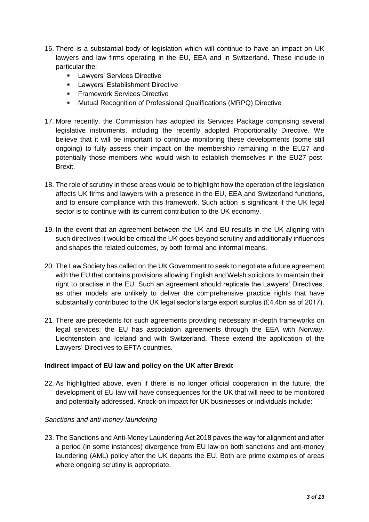- 16. There is a substantial body of legislation which will continue to have an impact on UK lawyers and law firms operating in the EU, EEA and in Switzerland. These include in particular the:
	- Lawyers' Services Directive
	- **■** Lawyers' Establishment Directive
	- **Examework Services Directive**
	- Mutual Recognition of Professional Qualifications (MRPQ) Directive
- 17. More recently, the Commission has adopted its Services Package comprising several legislative instruments, including the recently adopted Proportionality Directive. We believe that it will be important to continue monitoring these developments (some still ongoing) to fully assess their impact on the membership remaining in the EU27 and potentially those members who would wish to establish themselves in the EU27 post-Brexit.
- 18. The role of scrutiny in these areas would be to highlight how the operation of the legislation affects UK firms and lawyers with a presence in the EU, EEA and Switzerland functions, and to ensure compliance with this framework. Such action is significant if the UK legal sector is to continue with its current contribution to the UK economy.
- 19. In the event that an agreement between the UK and EU results in the UK aligning with such directives it would be critical the UK goes beyond scrutiny and additionally influences and shapes the related outcomes, by both formal and informal means.
- 20. The Law Society has called on the UK Government to seek to negotiate a future agreement with the EU that contains provisions allowing English and Welsh solicitors to maintain their right to practise in the EU. Such an agreement should replicate the Lawyers' Directives, as other models are unlikely to deliver the comprehensive practice rights that have substantially contributed to the UK legal sector's large export surplus (£4.4bn as of 2017).
- 21. There are precedents for such agreements providing necessary in-depth frameworks on legal services: the EU has association agreements through the EEA with Norway, Liechtenstein and Iceland and with Switzerland. These extend the application of the Lawyers' Directives to EFTA countries.

## **Indirect impact of EU law and policy on the UK after Brexit**

22. As highlighted above, even if there is no longer official cooperation in the future, the development of EU law will have consequences for the UK that will need to be monitored and potentially addressed. Knock-on impact for UK businesses or individuals include:

## *Sanctions and anti-money laundering*

23. The Sanctions and Anti-Money Laundering Act 2018 paves the way for alignment and after a period (in some instances) divergence from EU law on both sanctions and anti-money laundering (AML) policy after the UK departs the EU. Both are prime examples of areas where ongoing scrutiny is appropriate.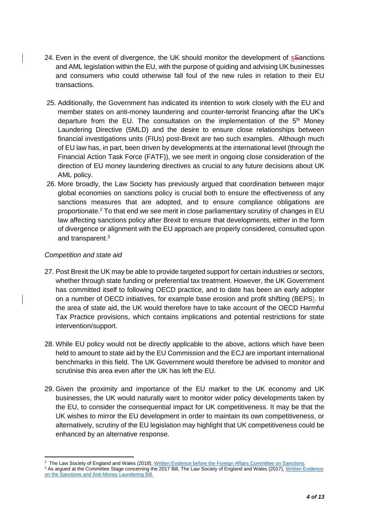- 24. Even in the event of divergence, the UK should monitor the development of sanctions and AML legislation within the EU, with the purpose of guiding and advising UK businesses and consumers who could otherwise fall foul of the new rules in relation to their EU transactions.
- 25. Additionally, the Government has indicated its intention to work closely with the EU and member states on anti-money laundering and counter-terrorist financing after the UK's departure from the EU. The consultation on the implementation of the  $5<sup>th</sup>$  Money Laundering Directive (5MLD) and the desire to ensure close relationships between financial investigations units (FIUs) post-Brexit are two such examples. Although much of EU law has, in part, been driven by developments at the international level (through the Financial Action Task Force (FATF)), we see merit in ongoing close consideration of the direction of EU money laundering directives as crucial to any future decisions about UK AML policy.
- 26. More broadly, the Law Society has previously argued that coordination between major global economies on sanctions policy is crucial both to ensure the effectiveness of any sanctions measures that are adopted, and to ensure compliance obligations are proportionate.<sup>2</sup> To that end we see merit in close parliamentary scrutiny of changes in EU law affecting sanctions policy after Brexit to ensure that developments, either in the form of divergence or alignment with the EU approach are properly considered, consulted upon and transparent.<sup>3</sup>

## *Competition and state aid*

- 27. Post Brexit the UK may be able to provide targeted support for certain industries or sectors, whether through state funding or preferential tax treatment. However, the UK Government has committed itself to following OECD practice, and to date has been an early adopter on a number of OECD initiatives, for example base erosion and profit shifting (BEPS). In the area of state aid, the UK would therefore have to take account of the OECD Harmful Tax Practice provisions, which contains implications and potential restrictions for state intervention/support.
- 28. While EU policy would not be directly applicable to the above, actions which have been held to amount to state aid by the EU Commission and the ECJ are important international benchmarks in this field. The UK Government would therefore be advised to monitor and scrutinise this area even after the UK has left the EU.
- 29. Given the proximity and importance of the EU market to the UK economy and UK businesses, the UK would naturally want to monitor wider policy developments taken by the EU, to consider the consequential impact for UK competitiveness. It may be that the UK wishes to mirror the EU development in order to maintain its own competitiveness, or alternatively, scrutiny of the EU legislation may highlight that UK competitiveness could be enhanced by an alternative response.

**<sup>.</sup>** <sup>2</sup> The Law Society of England and Wales (2018)[, Written Evidence before the Foreign Affairs Committee on Sanctions.](http://data.parliament.uk/writtenevidence/committeeevidence.svc/evidencedocument/foreign-affairs-committee/global-britain-the-future-of-uk-sanctions-policy/written/94565.html)

<sup>&</sup>lt;sup>3</sup> As argued at the Committee Stage concerning the 2017 Bill, The Law Society of England and Wales (2017), Written Evidence [on the Sanctions and Anti-Money Laundering Bill.](https://www.lawsociety.org.uk/news/documents/parliamentary-briefing-for-the-committee-stage-debate-of-the-sanctions-and-aml-bill/)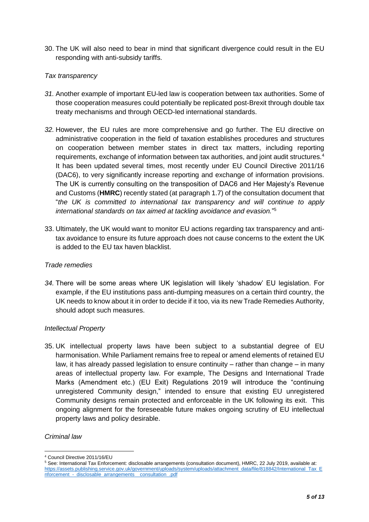30. The UK will also need to bear in mind that significant divergence could result in the EU responding with anti-subsidy tariffs.

## *Tax transparency*

- *31.* Another example of important EU-led law is cooperation between tax authorities. Some of those cooperation measures could potentially be replicated post-Brexit through double tax treaty mechanisms and through OECD-led international standards.
- *32.* However, the EU rules are more comprehensive and go further. The EU directive on administrative cooperation in the field of taxation establishes procedures and structures on cooperation between member states in direct tax matters, including reporting requirements, exchange of information between tax authorities, and joint audit structures.<sup>4</sup> It has been updated several times, most recently under EU Council Directive 2011/16 (DAC6), to very significantly increase reporting and exchange of information provisions. The UK is currently consulting on the transposition of DAC6 and Her Majesty's Revenue and Customs (**HMRC**) recently stated (at paragraph 1.7) of the consultation document that "*the UK is committed to international tax transparency and will continue to apply international standards on tax aimed at tackling avoidance and evasion.*" 5
- 33. Ultimately, the UK would want to monitor EU actions regarding tax transparency and antitax avoidance to ensure its future approach does not cause concerns to the extent the UK is added to the EU tax haven blacklist.

## *Trade remedies*

*34.* There will be some areas where UK legislation will likely 'shadow' EU legislation. For example, if the EU institutions pass anti-dumping measures on a certain third country, the UK needs to know about it in order to decide if it too, via its new Trade Remedies Authority, should adopt such measures.

## *Intellectual Property*

35. UK intellectual property laws have been subject to a substantial degree of EU harmonisation. While Parliament remains free to repeal or amend elements of retained EU law, it has already passed legislation to ensure continuity – rather than change – in many areas of intellectual property law. For example, The Designs and International Trade Marks (Amendment etc.) (EU Exit) Regulations 2019 will introduce the "continuing unregistered Community design," intended to ensure that existing EU unregistered Community designs remain protected and enforceable in the UK following its exit. This ongoing alignment for the foreseeable future makes ongoing scrutiny of EU intellectual property laws and policy desirable.

## *Criminal law*

 $\overline{a}$ <sup>4</sup> Council Directive 2011/16/EU

<sup>5</sup> See: International Tax Enforcement: disclosable arrangements (consultation document), HMRC, 22 July 2019, available at: [https://assets.publishing.service.gov.uk/government/uploads/system/uploads/attachment\\_data/file/818842/International\\_Tax\\_E](https://assets.publishing.service.gov.uk/government/uploads/system/uploads/attachment_data/file/818842/International_Tax_Enforcement_-_disclosable_arrangements__consultation_.pdf) [nforcement\\_-\\_disclosable\\_arrangements\\_\\_consultation\\_.pdf](https://assets.publishing.service.gov.uk/government/uploads/system/uploads/attachment_data/file/818842/International_Tax_Enforcement_-_disclosable_arrangements__consultation_.pdf)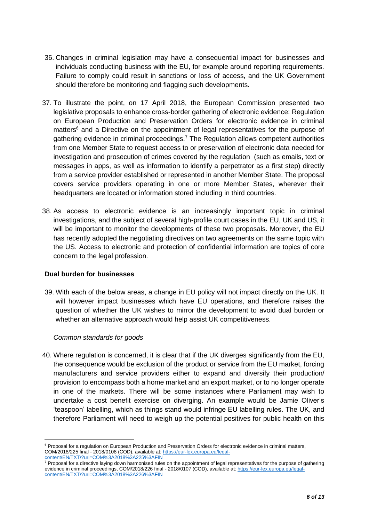- 36. Changes in criminal legislation may have a consequential impact for businesses and individuals conducting business with the EU, for example around reporting requirements. Failure to comply could result in sanctions or loss of access, and the UK Government should therefore be monitoring and flagging such developments.
- 37. To illustrate the point, on 17 April 2018, the European Commission presented two legislative proposals to enhance cross-border gathering of electronic evidence: Regulation on European Production and Preservation Orders for electronic evidence in criminal matters<sup>6</sup> and a Directive on the appointment of legal representatives for the purpose of gathering evidence in criminal proceedings.<sup>7</sup> The Regulation allows competent authorities from one Member State to request access to or preservation of electronic data needed for investigation and prosecution of crimes covered by the regulation (such as emails, text or messages in apps, as well as information to identify a perpetrator as a first step) directly from a service provider established or represented in another Member State. The proposal covers service providers operating in one or more Member States, wherever their headquarters are located or information stored including in third countries.
- 38. As access to electronic evidence is an increasingly important topic in criminal investigations, and the subject of several high-profile court cases in the EU, UK and US, it will be important to monitor the developments of these two proposals. Moreover, the EU has recently adopted the negotiating directives on two agreements on the same topic with the US. Access to electronic and protection of confidential information are topics of core concern to the legal profession.

## **Dual burden for businesses**

39. With each of the below areas, a change in EU policy will not impact directly on the UK. It will however impact businesses which have EU operations, and therefore raises the question of whether the UK wishes to mirror the development to avoid dual burden or whether an alternative approach would help assist UK competitiveness.

## *Common standards for goods*

 $\overline{a}$ 

40. Where regulation is concerned, it is clear that if the UK diverges significantly from the EU, the consequence would be exclusion of the product or service from the EU market, forcing manufacturers and service providers either to expand and diversify their production/ provision to encompass both a home market and an export market, or to no longer operate in one of the markets. There will be some instances where Parliament may wish to undertake a cost benefit exercise on diverging. An example would be Jamie Oliver's 'teaspoon' labelling, which as things stand would infringe EU labelling rules. The UK, and therefore Parliament will need to weigh up the potential positives for public health on this

<sup>&</sup>lt;sup>6</sup> Proposal for a regulation on European Production and Preservation Orders for electronic evidence in criminal matters, COM/2018/225 final - 2018/0108 (COD), available at: [https://eur-lex.europa.eu/legal](https://eur-lex.europa.eu/legal-content/EN/TXT/?uri=COM%3A2018%3A225%3AFIN)[content/EN/TXT/?uri=COM%3A2018%3A225%3AFIN](https://eur-lex.europa.eu/legal-content/EN/TXT/?uri=COM%3A2018%3A225%3AFIN)

 $<sup>7</sup>$  Proposal for a directive laying down harmonised rules on the appointment of legal representatives for the purpose of gathering</sup> evidence in criminal proceedings, COM/2018/226 final - 2018/0107 (COD), available at[: https://eur-lex.europa.eu/legal](https://eur-lex.europa.eu/legal-content/EN/TXT/?uri=COM%3A2018%3A226%3AFIN)[content/EN/TXT/?uri=COM%3A2018%3A226%3AFIN](https://eur-lex.europa.eu/legal-content/EN/TXT/?uri=COM%3A2018%3A226%3AFIN)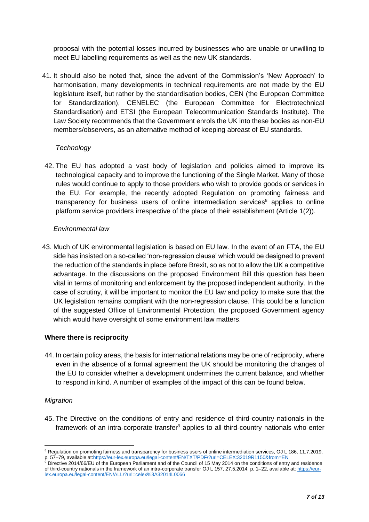proposal with the potential losses incurred by businesses who are unable or unwilling to meet EU labelling requirements as well as the new UK standards.

41. It should also be noted that, since the advent of the Commission's 'New Approach' to harmonisation, many developments in technical requirements are not made by the EU legislature itself, but rather by the standardisation bodies, CEN (the European Committee for Standardization), CENELEC (the European Committee for Electrotechnical Standardisation) and ETSI (the European Telecommunication Standards Institute). The Law Society recommends that the Government enrols the UK into these bodies as non-EU members/observers, as an alternative method of keeping abreast of EU standards.

## *Technology*

42. The EU has adopted a vast body of legislation and policies aimed to improve its technological capacity and to improve the functioning of the Single Market. Many of those rules would continue to apply to those providers who wish to provide goods or services in the EU. For example, the recently adopted Regulation on promoting fairness and transparency for business users of online intermediation services $8$  applies to online platform service providers irrespective of the place of their establishment (Article 1(2)).

## *Environmental law*

43. Much of UK environmental legislation is based on EU law. In the event of an FTA, the EU side has insisted on a so-called 'non-regression clause' which would be designed to prevent the reduction of the standards in place before Brexit, so as not to allow the UK a competitive advantage. In the discussions on the proposed Environment Bill this question has been vital in terms of monitoring and enforcement by the proposed independent authority. In the case of scrutiny, it will be important to monitor the EU law and policy to make sure that the UK legislation remains compliant with the non-regression clause. This could be a function of the suggested Office of Environmental Protection, the proposed Government agency which would have oversight of some environment law matters.

# **Where there is reciprocity**

44. In certain policy areas, the basis for international relations may be one of reciprocity, where even in the absence of a formal agreement the UK should be monitoring the changes of the EU to consider whether a development undermines the current balance, and whether to respond in kind. A number of examples of the impact of this can be found below.

## *Migration*

**.** 

45. The Directive on the conditions of entry and residence of third-country nationals in the framework of an intra-corporate transfer<sup>9</sup> applies to all third-country nationals who enter

<sup>8</sup> Regulation on promoting fairness and transparency for business users of online intermediation services, OJ L 186, 11.7.2019, p. 57–79, available a[t:https://eur-lex.europa.eu/legal-content/EN/TXT/PDF/?uri=CELEX:32019R1150&from=EN](https://eur-lex.europa.eu/legal-content/EN/TXT/PDF/?uri=CELEX:32019R1150&from=EN)

<sup>9</sup> Directive 2014/66/EU of the European Parliament and of the Council of 15 May 2014 on the conditions of entry and residence of third-country nationals in the framework of an intra-corporate transfer OJ L 157, 27.5.2014, p. 1–22, available at: [https://eur](https://eur-lex.europa.eu/legal-content/EN/ALL/?uri=celex%3A32014L0066)[lex.europa.eu/legal-content/EN/ALL/?uri=celex%3A32014L0066](https://eur-lex.europa.eu/legal-content/EN/ALL/?uri=celex%3A32014L0066)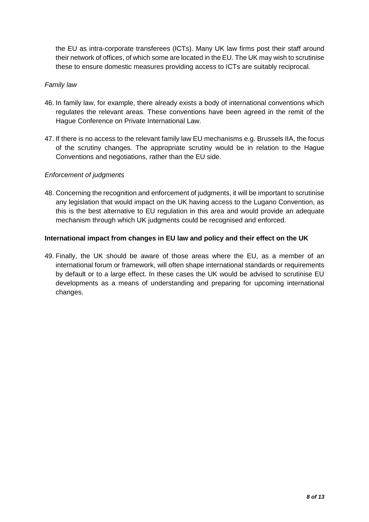the EU as intra-corporate transferees (ICTs). Many UK law firms post their staff around their network of offices, of which some are located in the EU. The UK may wish to scrutinise these to ensure domestic measures providing access to ICTs are suitably reciprocal.

## *Family law*

- 46. In family law, for example, there already exists a body of international conventions which regulates the relevant areas. These conventions have been agreed in the remit of the Hague Conference on Private International Law.
- 47. If there is no access to the relevant family law EU mechanisms e.g. Brussels IIA, the focus of the scrutiny changes. The appropriate scrutiny would be in relation to the Hague Conventions and negotiations, rather than the EU side.

## *Enforcement of judgments*

48. Concerning the recognition and enforcement of judgments, it will be important to scrutinise any legislation that would impact on the UK having access to the Lugano Convention, as this is the best alternative to EU regulation in this area and would provide an adequate mechanism through which UK judgments could be recognised and enforced.

## **International impact from changes in EU law and policy and their effect on the UK**

49. Finally, the UK should be aware of those areas where the EU, as a member of an international forum or framework, will often shape international standards or requirements by default or to a large effect. In these cases the UK would be advised to scrutinise EU developments as a means of understanding and preparing for upcoming international changes.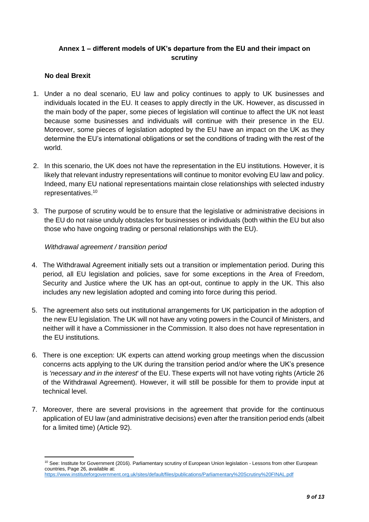# **Annex 1 – different models of UK's departure from the EU and their impact on scrutiny**

# **No deal Brexit**

- 1. Under a no deal scenario, EU law and policy continues to apply to UK businesses and individuals located in the EU. It ceases to apply directly in the UK. However, as discussed in the main body of the paper, some pieces of legislation will continue to affect the UK not least because some businesses and individuals will continue with their presence in the EU. Moreover, some pieces of legislation adopted by the EU have an impact on the UK as they determine the EU's international obligations or set the conditions of trading with the rest of the world.
- 2. In this scenario, the UK does not have the representation in the EU institutions. However, it is likely that relevant industry representations will continue to monitor evolving EU law and policy. Indeed, many EU national representations maintain close relationships with selected industry representatives.<sup>10</sup>
- 3. The purpose of scrutiny would be to ensure that the legislative or administrative decisions in the EU do not raise unduly obstacles for businesses or individuals (both within the EU but also those who have ongoing trading or personal relationships with the EU).

## *Withdrawal agreement / transition period*

- 4. The Withdrawal Agreement initially sets out a transition or implementation period. During this period, all EU legislation and policies, save for some exceptions in the Area of Freedom, Security and Justice where the UK has an opt-out, continue to apply in the UK. This also includes any new legislation adopted and coming into force during this period.
- 5. The agreement also sets out institutional arrangements for UK participation in the adoption of the new EU legislation. The UK will not have any voting powers in the Council of Ministers, and neither will it have a Commissioner in the Commission. It also does not have representation in the EU institutions.
- 6. There is one exception: UK experts can attend working group meetings when the discussion concerns acts applying to the UK during the transition period and/or where the UK's presence is *'necessary and in the interest*' of the EU. These experts will not have voting rights (Article 26 of the Withdrawal Agreement). However, it will still be possible for them to provide input at technical level.
- 7. Moreover, there are several provisions in the agreement that provide for the continuous application of EU law (and administrative decisions) even after the transition period ends (albeit for a limited time) (Article 92).

**<sup>.</sup>** <sup>10</sup> See: Institute for Government (2016). Parliamentary scrutiny of European Union legislation - Lessons from other European countries, Page 26, available at:

<https://www.instituteforgovernment.org.uk/sites/default/files/publications/Parliamentary%20Scrutiny%20FINAL.pdf>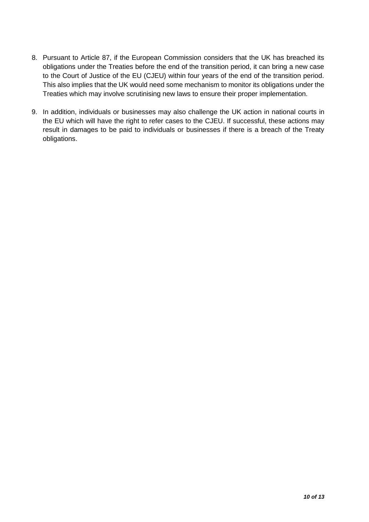- 8. Pursuant to Article 87, if the European Commission considers that the UK has breached its obligations under the Treaties before the end of the transition period, it can bring a new case to the Court of Justice of the EU (CJEU) within four years of the end of the transition period. This also implies that the UK would need some mechanism to monitor its obligations under the Treaties which may involve scrutinising new laws to ensure their proper implementation.
- 9. In addition, individuals or businesses may also challenge the UK action in national courts in the EU which will have the right to refer cases to the CJEU. If successful, these actions may result in damages to be paid to individuals or businesses if there is a breach of the Treaty obligations.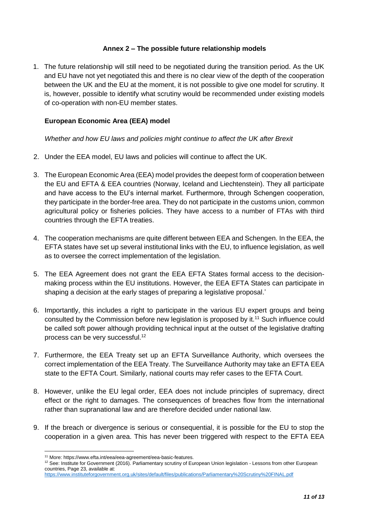## **Annex 2 – The possible future relationship models**

1. The future relationship will still need to be negotiated during the transition period. As the UK and EU have not yet negotiated this and there is no clear view of the depth of the cooperation between the UK and the EU at the moment, it is not possible to give one model for scrutiny. It is, however, possible to identify what scrutiny would be recommended under existing models of co-operation with non-EU member states.

## **European Economic Area (EEA) model**

*Whether and how EU laws and policies might continue to affect the UK after Brexit*

- 2. Under the EEA model, EU laws and policies will continue to affect the UK.
- 3. The European Economic Area (EEA) model provides the deepest form of cooperation between the EU and EFTA & EEA countries (Norway, Iceland and Liechtenstein). They all participate and have access to the EU's internal market. Furthermore, through Schengen cooperation, they participate in the border-free area. They do not participate in the customs union, common agricultural policy or fisheries policies. They have access to a number of FTAs with third countries through the EFTA treaties.
- 4. The cooperation mechanisms are quite different between EEA and Schengen. In the EEA, the EFTA states have set up several institutional links with the EU, to influence legislation, as well as to oversee the correct implementation of the legislation.
- 5. The EEA Agreement does not grant the EEA EFTA States formal access to the decisionmaking process within the EU institutions. However, the EEA EFTA States can participate in shaping a decision at the early stages of preparing a legislative proposal.'
- 6. Importantly, this includes a right to participate in the various EU expert groups and being consulted by the Commission before new legislation is proposed by it.<sup>11</sup> Such influence could be called soft power although providing technical input at the outset of the legislative drafting process can be very successful.<sup>12</sup>
- 7. Furthermore, the EEA Treaty set up an EFTA Surveillance Authority, which oversees the correct implementation of the EEA Treaty. The Surveillance Authority may take an EFTA EEA state to the EFTA Court. Similarly, national courts may refer cases to the EFTA Court.
- 8. However, unlike the EU legal order, EEA does not include principles of supremacy, direct effect or the right to damages. The consequences of breaches flow from the international rather than supranational law and are therefore decided under national law.
- 9. If the breach or divergence is serious or consequential, it is possible for the EU to stop the cooperation in a given area. This has never been triggered with respect to the EFTA EEA

 $\overline{a}$ 

<sup>11</sup> More[: https://www.efta.int/eea/eea-agreement/eea-basic-features.](https://www.efta.int/eea/eea-agreement/eea-basic-features) 

<sup>&</sup>lt;sup>12</sup> See: Institute for Government (2016). Parliamentary scrutiny of European Union legislation - Lessons from other European countries, Page 23, available at:

<https://www.instituteforgovernment.org.uk/sites/default/files/publications/Parliamentary%20Scrutiny%20FINAL.pdf>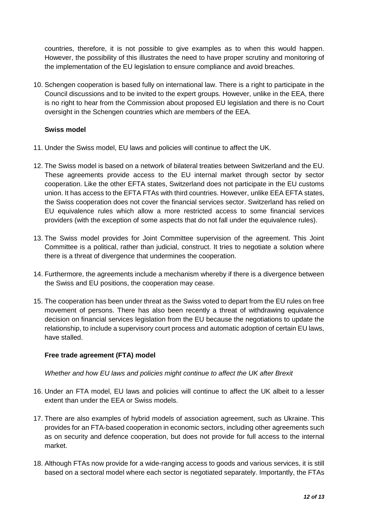countries, therefore, it is not possible to give examples as to when this would happen. However, the possibility of this illustrates the need to have proper scrutiny and monitoring of the implementation of the EU legislation to ensure compliance and avoid breaches.

10. Schengen cooperation is based fully on international law. There is a right to participate in the Council discussions and to be invited to the expert groups. However, unlike in the EEA, there is no right to hear from the Commission about proposed EU legislation and there is no Court oversight in the Schengen countries which are members of the EEA.

## **Swiss model**

- 11. Under the Swiss model, EU laws and policies will continue to affect the UK.
- 12. The Swiss model is based on a network of bilateral treaties between Switzerland and the EU. These agreements provide access to the EU internal market through sector by sector cooperation. Like the other EFTA states, Switzerland does not participate in the EU customs union. It has access to the EFTA FTAs with third countries. However, unlike EEA EFTA states, the Swiss cooperation does not cover the financial services sector. Switzerland has relied on EU equivalence rules which allow a more restricted access to some financial services providers (with the exception of some aspects that do not fall under the equivalence rules).
- 13. The Swiss model provides for Joint Committee supervision of the agreement. This Joint Committee is a political, rather than judicial, construct. It tries to negotiate a solution where there is a threat of divergence that undermines the cooperation.
- 14. Furthermore, the agreements include a mechanism whereby if there is a divergence between the Swiss and EU positions, the cooperation may cease.
- 15. The cooperation has been under threat as the Swiss voted to depart from the EU rules on free movement of persons. There has also been recently a threat of withdrawing equivalence decision on financial services legislation from the EU because the negotiations to update the relationship, to include a supervisory court process and automatic adoption of certain EU laws, have stalled.

# **Free trade agreement (FTA) model**

## *Whether and how EU laws and policies might continue to affect the UK after Brexit*

- 16. Under an FTA model, EU laws and policies will continue to affect the UK albeit to a lesser extent than under the EEA or Swiss models.
- 17. There are also examples of hybrid models of association agreement, such as Ukraine. This provides for an FTA-based cooperation in economic sectors, including other agreements such as on security and defence cooperation, but does not provide for full access to the internal market.
- 18. Although FTAs now provide for a wide-ranging access to goods and various services, it is still based on a sectoral model where each sector is negotiated separately. Importantly, the FTAs